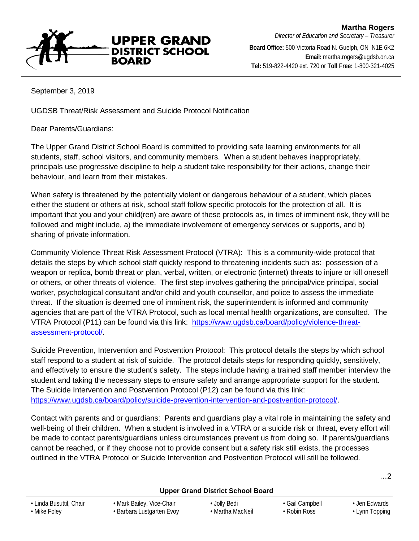**UPPER GRAND DISTRICT SCHOOL BOARD** 

**Board Office:** 500 Victoria Road N. Guelph, ON N1E 6K2 **Email:** martha.rogers@ugdsb.on.ca **Tel:** 519-822-4420 ext. 720 or **Toll Free:** 1-800-321-4025

September 3, 2019

UGDSB Threat/Risk Assessment and Suicide Protocol Notification

Dear Parents/Guardians:

The Upper Grand District School Board is committed to providing safe learning environments for all students, staff, school visitors, and community members. When a student behaves inappropriately, principals use progressive discipline to help a student take responsibility for their actions, change their behaviour, and learn from their mistakes.

When safety is threatened by the potentially violent or dangerous behaviour of a student, which places either the student or others at risk, school staff follow specific protocols for the protection of all. It is important that you and your child(ren) are aware of these protocols as, in times of imminent risk, they will be followed and might include, a) the immediate involvement of emergency services or supports, and b) sharing of private information.

Community Violence Threat Risk Assessment Protocol (VTRA): This is a community-wide protocol that details the steps by which school staff quickly respond to threatening incidents such as: possession of a weapon or replica, bomb threat or plan, verbal, written, or electronic (internet) threats to injure or kill oneself or others, or other threats of violence. The first step involves gathering the principal/vice principal, social worker, psychological consultant and/or child and youth counsellor, and police to assess the immediate threat. If the situation is deemed one of imminent risk, the superintendent is informed and community agencies that are part of the VTRA Protocol, such as local mental health organizations, are consulted. The VTRA Protocol (P11) can be found via this link: [https://www.ugdsb.ca/board/policy/violence-threat](https://www.ugdsb.ca/board/policy/violence-threat-assessment-protocol/)[assessment-protocol/.](https://www.ugdsb.ca/board/policy/violence-threat-assessment-protocol/)

Suicide Prevention, Intervention and Postvention Protocol: This protocol details the steps by which school staff respond to a student at risk of suicide. The protocol details steps for responding quickly, sensitively, and effectively to ensure the student's safety. The steps include having a trained staff member interview the student and taking the necessary steps to ensure safety and arrange appropriate support for the student. The Suicide Intervention and Postvention Protocol (P12) can be found via this link: [https://www.ugdsb.ca/board/policy/suicide-prevention-intervention-and-postvention-protocol/.](https://www.ugdsb.ca/board/policy/suicide-prevention-intervention-and-postvention-protocol/)

Contact with parents and or guardians: Parents and guardians play a vital role in maintaining the safety and well-being of their children. When a student is involved in a VTRA or a suicide risk or threat, every effort will be made to contact parents/guardians unless circumstances prevent us from doing so. If parents/guardians cannot be reached, or if they choose not to provide consent but a safety risk still exists, the processes outlined in the VTRA Protocol or Suicide Intervention and Postvention Protocol will still be followed.

| <b>Upper Grand District School Board</b> |                           |                  |                 |                |
|------------------------------------------|---------------------------|------------------|-----------------|----------------|
| • Linda Busuttil, Chair                  | • Mark Bailey, Vice-Chair | • Jolly Bedi     | • Gail Campbell | • Jen Edwards  |
| • Mike Foley                             | • Barbara Lustgarten Evoy | • Martha MacNeil | • Robin Ross    | • Lynn Topping |

…2